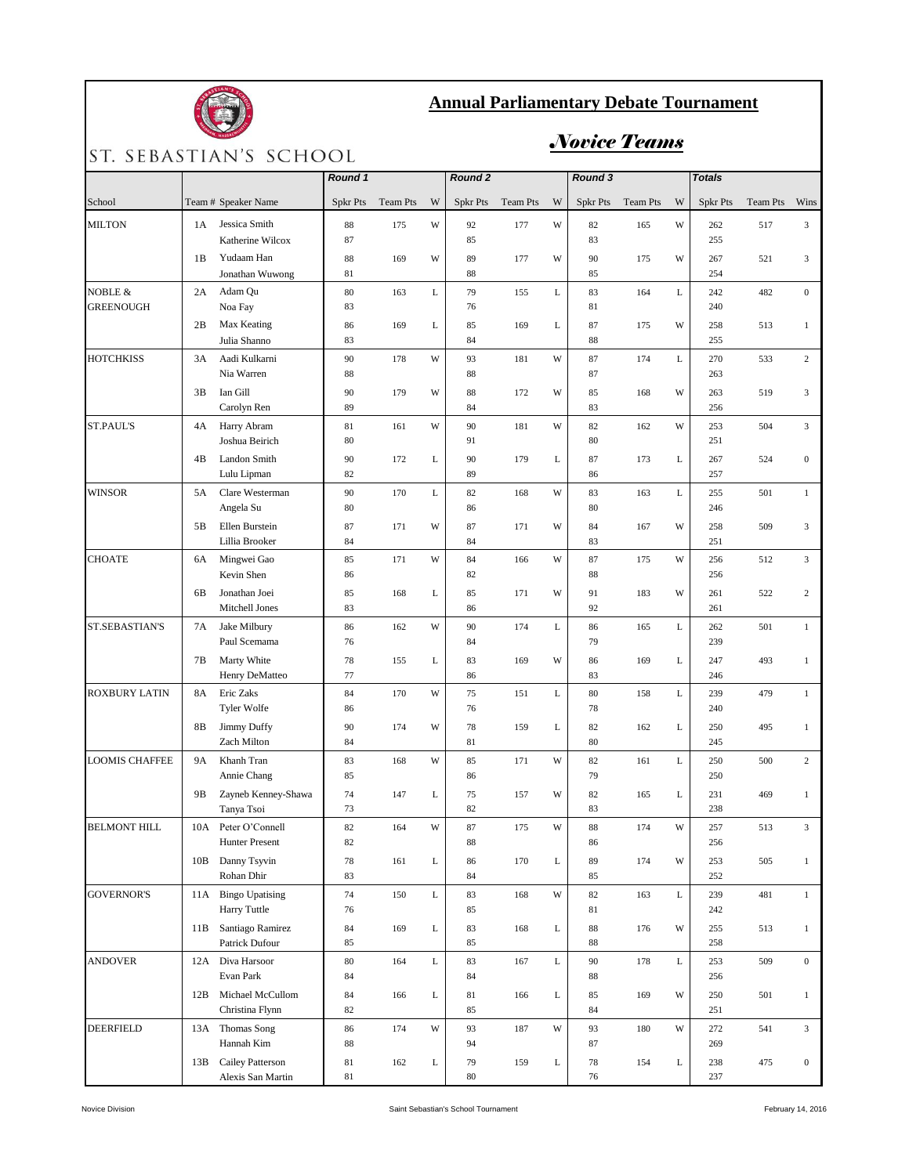

## **Annual Parliamentary Debate Tournament**

## ST. SEBASTIAN'S SCHOOL

## *Novice Teams*

|                       |     |                                    | Round 1         |          |             | Round <sub>2</sub> |          |   | Round 3         |                 |             | <b>Totals</b>   |                 |                  |
|-----------------------|-----|------------------------------------|-----------------|----------|-------------|--------------------|----------|---|-----------------|-----------------|-------------|-----------------|-----------------|------------------|
| School                |     | Team # Speaker Name                | <b>Spkr Pts</b> | Team Pts | W           | Spkr Pts           | Team Pts | W | <b>Spkr Pts</b> | <b>Team Pts</b> | W           | <b>Spkr Pts</b> | <b>Team Pts</b> | Wins             |
| <b>MILTON</b>         | 1A  | Jessica Smith                      | 88              | 175      | W           | 92                 | 177      | W | 82              | 165             | W           | 262             | 517             | 3                |
|                       |     | Katherine Wilcox                   | 87              |          |             | 85                 |          |   | 83              |                 |             | 255             |                 |                  |
|                       | 1B  | Yudaam Han                         | 88              | 169      | W           | 89                 | 177      | W | 90              | 175             | W           | 267             | 521             | 3                |
|                       |     | Jonathan Wuwong                    | 81              |          |             | 88                 |          |   | 85              |                 |             | 254             |                 |                  |
| NOBLE &               | 2A  | Adam Qu                            | 80              | 163      | $\mathbf L$ | 79                 | 155      | L | 83              | 164             | $\mathbf L$ | 242             | 482             | $\mathbf{0}$     |
| <b>GREENOUGH</b>      |     | Noa Fay                            | 83              |          |             | 76                 |          |   | 81              |                 |             | 240             |                 |                  |
|                       | 2B  | Max Keating<br>Julia Shanno        | 86<br>83        | 169      | L           | 85<br>84           | 169      | L | 87<br>88        | 175             | W           | 258<br>255      | 513             | $\mathbf{1}$     |
| <b>HOTCHKISS</b>      | 3A  | Aadi Kulkarni                      | 90              | 178      | W           | 93                 | 181      | W | 87              | 174             | L           | 270             | 533             | $\overline{c}$   |
|                       |     | Nia Warren                         | 88              |          |             | 88                 |          |   | 87              |                 |             | 263             |                 |                  |
|                       | 3B  | Ian Gill                           | 90              | 179      | W           | 88                 | 172      | W | 85              | 168             | W           | 263             | 519             | 3                |
|                       |     | Carolyn Ren                        | 89              |          |             | 84                 |          |   | 83              |                 |             | 256             |                 |                  |
| <b>ST.PAUL'S</b>      | 4A  | Harry Abram                        | 81              | 161      | W           | 90                 | 181      | W | 82              | 162             | W           | 253             | 504             | 3                |
|                       |     | Joshua Beirich                     | 80              |          |             | 91                 |          |   | 80              |                 |             | 251             |                 |                  |
|                       | 4B  | Landon Smith                       | 90              | 172      | L           | 90                 | 179      | L | 87              | 173             | $\mathbf L$ | 267             | 524             | $\overline{0}$   |
|                       |     | Lulu Lipman                        | 82              |          |             | 89                 |          |   | 86              |                 |             | 257             |                 |                  |
| <b>WINSOR</b>         | 5A  | Clare Westerman                    | 90              | 170      | $\mathbf L$ | 82                 | 168      | W | 83              | 163             | $\mathbf L$ | 255             | 501             | $\mathbf{1}$     |
|                       |     | Angela Su                          | 80              |          |             | 86                 |          |   | 80              |                 |             | 246             |                 |                  |
|                       | 5B  | Ellen Burstein                     | 87              | 171      | W           | 87                 | 171      | W | 84              | 167             | W           | 258             | 509             | 3                |
| <b>CHOATE</b>         |     | Lillia Brooker                     | 84              |          |             | 84                 |          |   | 83              |                 |             | 251             |                 |                  |
|                       | 6A  | Mingwei Gao<br>Kevin Shen          | 85<br>86        | 171      | W           | 84<br>82           | 166      | W | 87<br>88        | 175             | W           | 256<br>256      | 512             | 3                |
|                       | 6B  | Jonathan Joei                      | 85              | 168      | L           | 85                 | 171      | W | 91              | 183             | W           | 261             | 522             | $\overline{c}$   |
|                       |     | Mitchell Jones                     | 83              |          |             | 86                 |          |   | 92              |                 |             | 261             |                 |                  |
| ST.SEBASTIAN'S        | 7A  | Jake Milbury                       | 86              | 162      | W           | 90                 | 174      | L | 86              | 165             | $\mathbf L$ | 262             | 501             | $\mathbf{1}$     |
|                       |     | Paul Scemama                       | 76              |          |             | 84                 |          |   | 79              |                 |             | 239             |                 |                  |
|                       | 7Β  | Marty White                        | 78              | 155      | L           | 83                 | 169      | W | 86              | 169             | L           | 247             | 493             | $\mathbf{1}$     |
|                       |     | Henry DeMatteo                     | 77              |          |             | 86                 |          |   | 83              |                 |             | 246             |                 |                  |
| <b>ROXBURY LATIN</b>  | 8A  | Eric Zaks                          | 84              | 170      | W           | 75                 | 151      | L | 80              | 158             | $\mathbf L$ | 239             | 479             | $\mathbf{1}$     |
|                       |     | Tyler Wolfe                        | 86              |          |             | 76                 |          |   | 78              |                 |             | 240             |                 |                  |
|                       | 8B  | Jimmy Duffy<br>Zach Milton         | 90<br>84        | 174      | W           | 78                 | 159      | L | 82<br>80        | 162             | L           | 250             | 495             | $\mathbf{1}$     |
|                       | 9A  | Khanh Tran                         |                 | 168      | W           | 81                 | 171      | W |                 | 161             | $\mathbf L$ | 245             | 500             | $\overline{c}$   |
| <b>LOOMIS CHAFFEE</b> |     | Annie Chang                        | 83<br>85        |          |             | 85<br>86           |          |   | 82<br>79        |                 |             | 250<br>250      |                 |                  |
|                       | 9Β  | Zayneb Kenney-Shawa                | 74              | 147      | L           | 75                 | 157      | W | 82              | 165             | $\mathbf L$ | 231             | 469             | $\mathbf{1}$     |
|                       |     | Tanya Tsoi                         | 73              |          |             | 82                 |          |   | 83              |                 |             | 238             |                 |                  |
| <b>BELMONT HILL</b>   | 10A | Peter O'Connell                    | 82              | 164      | W           | 87                 | 175      | W | 88              | 174             | W           | 257             | 513             | 3                |
|                       |     | <b>Hunter Present</b>              | 82              |          |             | 88                 |          |   | 86              |                 |             | 256             |                 |                  |
|                       | 10B | Danny Tsyvin                       | 78              | 161      | L           | 86                 | 170      | L | 89              | 174             | W           | 253             | 505             | $\mathbf{1}$     |
|                       |     | Rohan Dhir                         | 83              |          |             | 84                 |          |   | 85              |                 |             | 252             |                 |                  |
| <b>GOVERNOR'S</b>     | 11A | <b>Bingo Upatising</b>             | 74              | 150      | $\mathbf L$ | 83                 | 168      | W | 82              | 163             | L           | 239             | 481             | $\mathbf{1}$     |
|                       |     | Harry Tuttle                       | 76              |          |             | 85                 |          |   | 81              |                 |             | 242             |                 |                  |
|                       | 11B | Santiago Ramirez<br>Patrick Dufour | 84<br>85        | 169      | L           | 83                 | 168      | L | 88<br>88        | 176             | W           | 255             | 513             | $\mathbf{1}$     |
|                       | 12A | Diva Harsoor                       | 80              | 164      | L           | 85<br>83           | 167      | L | 90              | 178             | L           | 258             | 509             | $\mathbf{0}$     |
| <b>ANDOVER</b>        |     | Evan Park                          | 84              |          |             | 84                 |          |   | 88              |                 |             | 253<br>256      |                 |                  |
|                       | 12B | Michael McCullom                   | 84              | 166      | L           | 81                 | 166      | L | 85              | 169             | W           | 250             | 501             | $\mathbf{1}$     |
|                       |     | Christina Flynn                    | 82              |          |             | 85                 |          |   | 84              |                 |             | 251             |                 |                  |
| DEERFIELD             |     | 13A Thomas Song                    | 86              | 174      | W           | 93                 | 187      | W | 93              | 180             | W           | 272             | 541             | 3                |
|                       |     | Hannah Kim                         | 88              |          |             | 94                 |          |   | 87              |                 |             | 269             |                 |                  |
|                       | 13B | Cailey Patterson                   | 81              | 162      | L           | 79                 | 159      | L | 78              | 154             | L           | 238             | 475             | $\boldsymbol{0}$ |
|                       |     | Alexis San Martin                  | 81              |          |             | 80                 |          |   | 76              |                 |             | 237             |                 |                  |